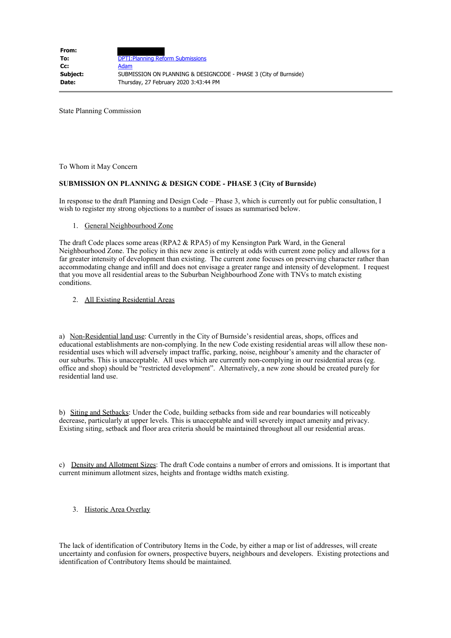State Planning Commission

To Whom it May Concern

## **SUBMISSION ON PLANNING & DESIGN CODE - PHASE 3 (City of Burnside)**

In response to the draft Planning and Design Code – Phase 3, which is currently out for public consultation, I wish to register my strong objections to a number of issues as summarised below.

#### 1. General Neighbourhood Zone

The draft Code places some areas (RPA2 & RPA5) of my Kensington Park Ward, in the General Neighbourhood Zone. The policy in this new zone is entirely at odds with current zone policy and allows for a far greater intensity of development than existing. The current zone focuses on preserving character rather than accommodating change and infill and does not envisage a greater range and intensity of development. I request that you move all residential areas to the Suburban Neighbourhood Zone with TNVs to match existing conditions.

### 2. All Existing Residential Areas

a) Non-Residential land use: Currently in the City of Burnside's residential areas, shops, offices and educational establishments are non-complying. In the new Code existing residential areas will allow these nonresidential uses which will adversely impact traffic, parking, noise, neighbour's amenity and the character of our suburbs. This is unacceptable. All uses which are currently non-complying in our residential areas (eg. office and shop) should be "restricted development". Alternatively, a new zone should be created purely for residential land use.

b) Siting and Setbacks: Under the Code, building setbacks from side and rear boundaries will noticeably decrease, particularly at upper levels. This is unacceptable and will severely impact amenity and privacy. Existing siting, setback and floor area criteria should be maintained throughout all our residential areas.

c) Density and Allotment Sizes: The draft Code contains a number of errors and omissions. It is important that current minimum allotment sizes, heights and frontage widths match existing.

# 3. Historic Area Overlay

The lack of identification of Contributory Items in the Code, by either a map or list of addresses, will create uncertainty and confusion for owners, prospective buyers, neighbours and developers. Existing protections and identification of Contributory Items should be maintained.